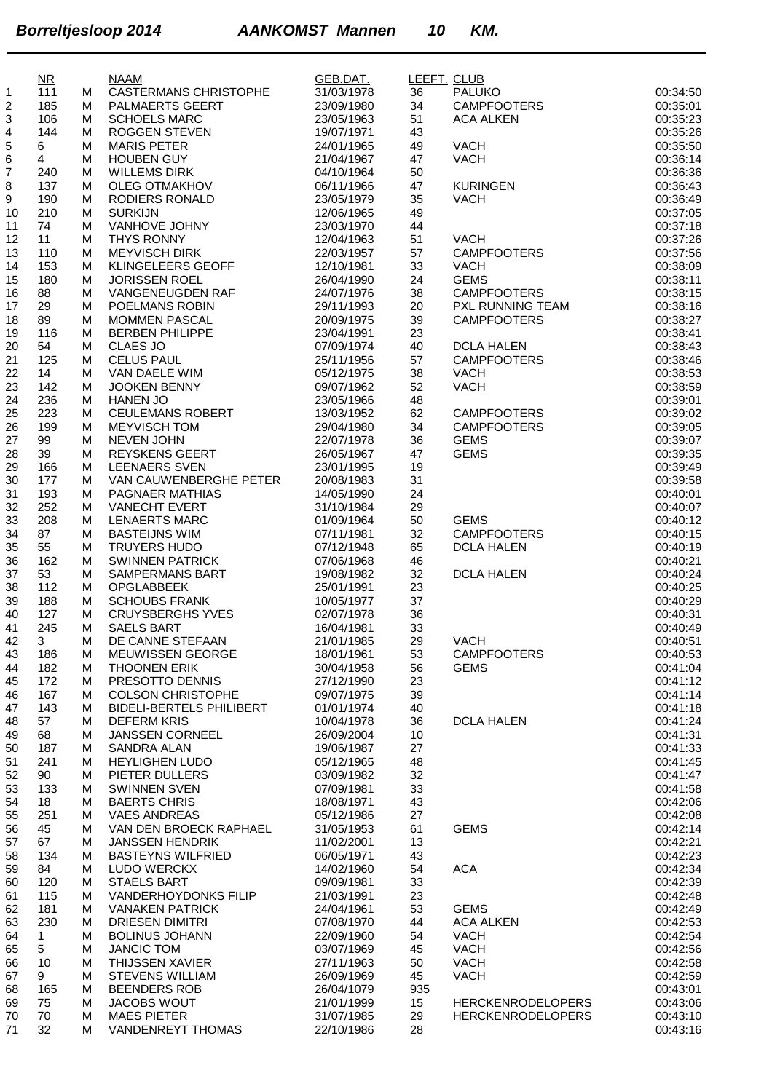|    | $\overline{\text{MR}}$ |   | <b>NAAM</b>                     | GEB.DAT.   | LEEFT. CLUB |                          |          |
|----|------------------------|---|---------------------------------|------------|-------------|--------------------------|----------|
| 1  | 111                    | м | <b>CASTERMANS CHRISTOPHE</b>    | 31/03/1978 | 36          | <b>PALUKO</b>            | 00:34:50 |
| 2  | 185                    | м | PALMAERTS GEERT                 | 23/09/1980 | 34          | <b>CAMPFOOTERS</b>       | 00:35:01 |
| 3  | 106                    | м | <b>SCHOELS MARC</b>             | 23/05/1963 | 51          | <b>ACA ALKEN</b>         | 00:35:23 |
| 4  | 144                    | м | <b>ROGGEN STEVEN</b>            | 19/07/1971 | 43          |                          | 00:35:26 |
| 5  | 6                      | м | <b>MARIS PETER</b>              | 24/01/1965 | 49          | <b>VACH</b>              | 00:35:50 |
| 6  | $\overline{4}$         | M | <b>HOUBEN GUY</b>               | 21/04/1967 | 47          | <b>VACH</b>              | 00:36:14 |
| 7  | 240                    | M | <b>WILLEMS DIRK</b>             | 04/10/1964 | 50          |                          | 00:36:36 |
| 8  | 137                    | м | <b>OLEG OTMAKHOV</b>            | 06/11/1966 | 47          | <b>KURINGEN</b>          | 00:36:43 |
| 9  | 190                    | м | RODIERS RONALD                  | 23/05/1979 | 35          | <b>VACH</b>              | 00:36:49 |
| 10 | 210                    | м | <b>SURKIJN</b>                  | 12/06/1965 | 49          |                          | 00:37:05 |
| 11 | 74                     | м | VANHOVE JOHNY                   | 23/03/1970 | 44          |                          | 00:37:18 |
| 12 | 11                     | м | THYS RONNY                      | 12/04/1963 | 51          | <b>VACH</b>              | 00:37:26 |
| 13 | 110                    | M | <b>MEYVISCH DIRK</b>            | 22/03/1957 | 57          | <b>CAMPFOOTERS</b>       | 00:37:56 |
| 14 | 153                    | M | <b>KLINGELEERS GEOFF</b>        | 12/10/1981 | 33          | <b>VACH</b>              | 00:38:09 |
| 15 | 180                    | м | <b>JORISSEN ROEL</b>            | 26/04/1990 | 24          | <b>GEMS</b>              | 00:38:11 |
| 16 | 88                     | M | VANGENEUGDEN RAF                | 24/07/1976 | 38          | <b>CAMPFOOTERS</b>       | 00:38:15 |
| 17 | 29                     | M | POELMANS ROBIN                  | 29/11/1993 | 20          | PXL RUNNING TEAM         | 00:38:16 |
| 18 | 89                     | м | <b>MOMMEN PASCAL</b>            | 20/09/1975 | 39          | <b>CAMPFOOTERS</b>       | 00:38:27 |
| 19 | 116                    | м | <b>BERBEN PHILIPPE</b>          | 23/04/1991 | 23          |                          | 00:38:41 |
| 20 | 54                     | M | CLAES JO                        | 07/09/1974 | 40          | <b>DCLA HALEN</b>        | 00:38:43 |
| 21 | 125                    | M | <b>CELUS PAUL</b>               | 25/11/1956 | 57          | <b>CAMPFOOTERS</b>       | 00:38:46 |
| 22 | 14                     | м | VAN DAELE WIM                   | 05/12/1975 | 38          | <b>VACH</b>              | 00:38:53 |
| 23 | 142                    | м | <b>JOOKEN BENNY</b>             | 09/07/1962 | 52          | <b>VACH</b>              | 00:38:59 |
| 24 | 236                    | M | <b>HANEN JO</b>                 | 23/05/1966 | 48          |                          | 00:39:01 |
| 25 | 223                    | м | CEULEMANS ROBERT                | 13/03/1952 | 62          | <b>CAMPFOOTERS</b>       | 00:39:02 |
| 26 | 199                    | м | MEYVISCH TOM                    | 29/04/1980 | 34          | <b>CAMPFOOTERS</b>       | 00:39:05 |
| 27 | 99                     | M | <b>NEVEN JOHN</b>               | 22/07/1978 | 36          | <b>GEMS</b>              | 00:39:07 |
|    | 39                     | м | <b>REYSKENS GEERT</b>           | 26/05/1967 |             | <b>GEMS</b>              | 00:39:35 |
| 28 |                        |   | <b>LEENAERS SVEN</b>            |            | 47<br>19    |                          | 00:39:49 |
| 29 | 166                    | м |                                 | 23/01/1995 |             |                          |          |
| 30 | 177                    | м | VAN CAUWENBERGHE PETER          | 20/08/1983 | 31          |                          | 00:39:58 |
| 31 | 193                    | м | PAGNAER MATHIAS                 | 14/05/1990 | 24          |                          | 00:40:01 |
| 32 | 252                    | M | <b>VANECHT EVERT</b>            | 31/10/1984 | 29          |                          | 00:40:07 |
| 33 | 208                    | м | <b>LENAERTS MARC</b>            | 01/09/1964 | 50          | <b>GEMS</b>              | 00:40:12 |
| 34 | 87                     | м | <b>BASTEIJNS WIM</b>            | 07/11/1981 | 32          | <b>CAMPFOOTERS</b>       | 00:40:15 |
| 35 | 55                     | M | TRUYERS HUDO                    | 07/12/1948 | 65          | <b>DCLA HALEN</b>        | 00:40:19 |
| 36 | 162                    | м | <b>SWINNEN PATRICK</b>          | 07/06/1968 | 46          |                          | 00:40:21 |
| 37 | 53                     | м | SAMPERMANS BART                 | 19/08/1982 | 32          | <b>DCLA HALEN</b>        | 00:40:24 |
| 38 | 112                    | M | <b>OPGLABBEEK</b>               | 25/01/1991 | 23          |                          | 00:40:25 |
| 39 | 188                    | M | <b>SCHOUBS FRANK</b>            | 10/05/1977 | 37          |                          | 00:40:29 |
| 40 | 127                    | м | <b>CRUYSBERGHS YVES</b>         | 02/07/1978 | 36          |                          | 00:40:31 |
| 41 | 245                    | M | <b>SAELS BART</b>               | 16/04/1981 | 33          |                          | 00:40:49 |
| 42 | 3                      | м | DE CANNE STEFAAN                | 21/01/1985 | 29          | <b>VACH</b>              | 00:40:51 |
| 43 | 186                    | M | MEUWISSEN GEORGE                | 18/01/1961 | 53          | CAMPFOOTERS              | 00:40:53 |
| 44 | 182                    | м | <b>THOONEN ERIK</b>             | 30/04/1958 | 56          | <b>GEMS</b>              | 00:41:04 |
| 45 | 172                    | м | PRESOTTO DENNIS                 | 27/12/1990 | 23          |                          | 00:41:12 |
| 46 | 167                    | м | <b>COLSON CHRISTOPHE</b>        | 09/07/1975 | 39          |                          | 00:41:14 |
| 47 | 143                    | м | <b>BIDELI-BERTELS PHILIBERT</b> | 01/01/1974 | 40          |                          | 00:41:18 |
| 48 | 57                     | м | <b>DEFERM KRIS</b>              | 10/04/1978 | 36          | <b>DCLA HALEN</b>        | 00:41:24 |
| 49 | 68                     | м | <b>JANSSEN CORNEEL</b>          | 26/09/2004 | 10          |                          | 00:41:31 |
| 50 | 187                    | м | <b>SANDRA ALAN</b>              | 19/06/1987 | 27          |                          | 00:41:33 |
| 51 | 241                    | м | <b>HEYLIGHEN LUDO</b>           | 05/12/1965 | 48          |                          | 00:41:45 |
| 52 | 90                     | м | PIETER DULLERS                  | 03/09/1982 | 32          |                          | 00:41:47 |
| 53 | 133                    | м | <b>SWINNEN SVEN</b>             | 07/09/1981 | 33          |                          | 00:41:58 |
| 54 | 18                     | м | <b>BAERTS CHRIS</b>             | 18/08/1971 | 43          |                          | 00:42:06 |
| 55 | 251                    | м | <b>VAES ANDREAS</b>             | 05/12/1986 | 27          |                          | 00:42:08 |
| 56 | 45                     | м | VAN DEN BROECK RAPHAEL          | 31/05/1953 | 61          | <b>GEMS</b>              | 00:42:14 |
| 57 | 67                     | м | <b>JANSSEN HENDRIK</b>          | 11/02/2001 | 13          |                          | 00:42:21 |
| 58 | 134                    | м | <b>BASTEYNS WILFRIED</b>        | 06/05/1971 | 43          |                          | 00:42:23 |
| 59 | 84                     | м | LUDO WERCKX                     | 14/02/1960 | 54          | <b>ACA</b>               | 00:42:34 |
| 60 | 120                    | м | <b>STAELS BART</b>              | 09/09/1981 | 33          |                          | 00:42:39 |
| 61 | 115                    | м | VANDERHOYDONKS FILIP            | 21/03/1991 | 23          |                          | 00:42:48 |
| 62 | 181                    | м | <b>VANAKEN PATRICK</b>          | 24/04/1961 | 53          | <b>GEMS</b>              | 00:42:49 |
| 63 | 230                    | м | <b>DRIESEN DIMITRI</b>          | 07/08/1970 | 44          | <b>ACA ALKEN</b>         | 00:42:53 |
| 64 | $\mathbf{1}$           | м | <b>BOLINUS JOHANN</b>           | 22/09/1960 | 54          | <b>VACH</b>              | 00:42:54 |
| 65 | 5                      | м | <b>JANCIC TOM</b>               | 03/07/1969 | 45          | <b>VACH</b>              | 00:42:56 |
| 66 | 10                     | м | THIJSSEN XAVIER                 | 27/11/1963 | 50          | <b>VACH</b>              | 00:42:58 |
| 67 | 9                      | м | <b>STEVENS WILLIAM</b>          | 26/09/1969 | 45          | <b>VACH</b>              | 00:42:59 |
| 68 | 165                    | м | <b>BEENDERS ROB</b>             | 26/04/1079 | 935         |                          | 00:43:01 |
| 69 | 75                     | м | JACOBS WOUT                     | 21/01/1999 | 15          | <b>HERCKENRODELOPERS</b> | 00:43:06 |
| 70 | 70                     | м | <b>MAES PIETER</b>              | 31/07/1985 | 29          | <b>HERCKENRODELOPERS</b> | 00:43:10 |
| 71 | 32                     | м | VANDENREYT THOMAS               | 22/10/1986 | 28          |                          | 00:43:16 |
|    |                        |   |                                 |            |             |                          |          |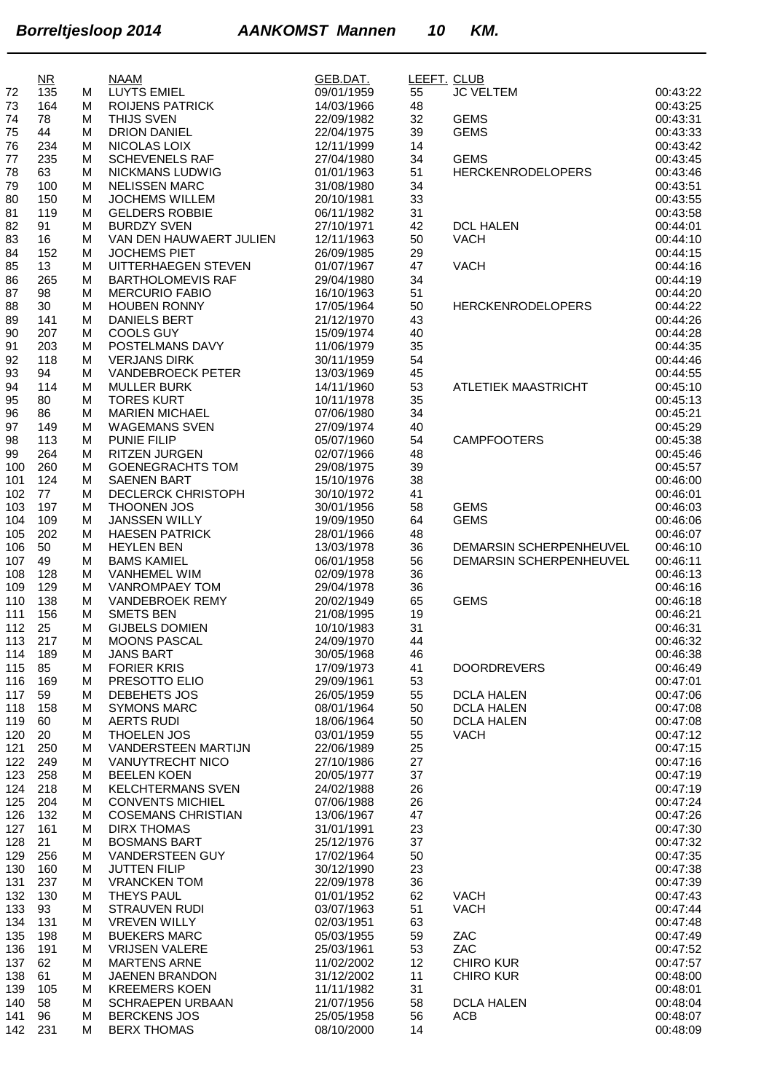|            | $NR$       |        | <b>NAAM</b>                                   | GEB.DAT.                 | LEEFT. CLUB |                                  |                      |
|------------|------------|--------|-----------------------------------------------|--------------------------|-------------|----------------------------------|----------------------|
| 72         | 135        | М      | LUYTS EMIEL                                   | 09/01/1959               | 55          | <b>JC VELTEM</b>                 | 00:43:22             |
| 73         | 164        | M      | <b>ROIJENS PATRICK</b>                        | 14/03/1966               | 48          |                                  | 00:43:25             |
| 74<br>75   | 78<br>44   | М<br>М | THIJS SVEN<br><b>DRION DANIEL</b>             | 22/09/1982<br>22/04/1975 | 32<br>39    | <b>GEMS</b><br><b>GEMS</b>       | 00:43:31<br>00:43:33 |
| 76         | 234        | M      | NICOLAS LOIX                                  | 12/11/1999               | 14          |                                  | 00:43:42             |
| 77         | 235        | M      | <b>SCHEVENELS RAF</b>                         | 27/04/1980               | 34          | <b>GEMS</b>                      | 00:43:45             |
| 78         | 63         | М      | NICKMANS LUDWIG                               | 01/01/1963               | 51          | <b>HERCKENRODELOPERS</b>         | 00:43:46             |
| 79         | 100        | M      | <b>NELISSEN MARC</b>                          | 31/08/1980               | 34          |                                  | 00:43:51             |
| 80         | 150        | M      | <b>JOCHEMS WILLEM</b>                         | 20/10/1981               | 33          |                                  | 00:43:55             |
| 81         | 119        | M      | <b>GELDERS ROBBIE</b>                         | 06/11/1982               | 31          | <b>DCL HALEN</b>                 | 00:43:58<br>00:44:01 |
| 82<br>83   | 91<br>16   | M<br>М | <b>BURDZY SVEN</b><br>VAN DEN HAUWAERT JULIEN | 27/10/1971<br>12/11/1963 | 42<br>50    | <b>VACH</b>                      | 00:44:10             |
| 84         | 152        | M      | <b>JOCHEMS PIET</b>                           | 26/09/1985               | 29          |                                  | 00:44:15             |
| 85         | 13         | M      | UITTERHAEGEN STEVEN                           | 01/07/1967               | 47          | <b>VACH</b>                      | 00:44:16             |
| 86         | 265        | М      | <b>BARTHOLOMEVIS RAF</b>                      | 29/04/1980               | 34          |                                  | 00:44:19             |
| 87         | 98         | M      | <b>MERCURIO FABIO</b>                         | 16/10/1963               | 51          |                                  | 00:44:20             |
| 88         | 30         | M      | <b>HOUBEN RONNY</b>                           | 17/05/1964               | 50          | <b>HERCKENRODELOPERS</b>         | 00:44:22             |
| 89<br>90   | 141<br>207 | M<br>М | <b>DANIELS BERT</b><br><b>COOLS GUY</b>       | 21/12/1970<br>15/09/1974 | 43<br>40    |                                  | 00:44:26<br>00:44:28 |
| 91         | 203        | M      | POSTELMANS DAVY                               | 11/06/1979               | 35          |                                  | 00:44:35             |
| 92         | 118        | М      | <b>VERJANS DIRK</b>                           | 30/11/1959               | 54          |                                  | 00:44:46             |
| 93         | 94         | М      | <b>VANDEBROECK PETER</b>                      | 13/03/1969               | 45          |                                  | 00:44:55             |
| 94         | 114        | M      | <b>MULLER BURK</b>                            | 14/11/1960               | 53          | <b>ATLETIEK MAASTRICHT</b>       | 00:45:10             |
| 95         | 80         | M      | <b>TORES KURT</b>                             | 10/11/1978               | 35          |                                  | 00:45:13             |
| 96         | 86         | M      | <b>MARIEN MICHAEL</b>                         | 07/06/1980               | 34          |                                  | 00:45:21             |
| 97<br>98   | 149<br>113 | M<br>M | <b>WAGEMANS SVEN</b><br><b>PUNIE FILIP</b>    | 27/09/1974<br>05/07/1960 | 40<br>54    | <b>CAMPFOOTERS</b>               | 00:45:29<br>00:45:38 |
| 99         | 264        | М      | <b>RITZEN JURGEN</b>                          | 02/07/1966               | 48          |                                  | 00:45:46             |
| 100        | 260        | М      | <b>GOENEGRACHTS TOM</b>                       | 29/08/1975               | 39          |                                  | 00:45:57             |
| 101        | 124        | M      | <b>SAENEN BART</b>                            | 15/10/1976               | 38          |                                  | 00:46:00             |
| 102        | 77         | M      | <b>DECLERCK CHRISTOPH</b>                     | 30/10/1972               | 41          |                                  | 00:46:01             |
| 103        | 197        | М      | <b>THOONEN JOS</b>                            | 30/01/1956               | 58          | <b>GEMS</b>                      | 00:46:03             |
| 104        | 109<br>202 | М      | <b>JANSSEN WILLY</b>                          | 19/09/1950               | 64<br>48    | <b>GEMS</b>                      | 00:46:06<br>00:46:07 |
| 105<br>106 | 50         | M<br>M | <b>HAESEN PATRICK</b><br><b>HEYLEN BEN</b>    | 28/01/1966<br>13/03/1978 | 36          | DEMARSIN SCHERPENHEUVEL          | 00:46:10             |
| 107        | 49         | M      | <b>BAMS KAMIEL</b>                            | 06/01/1958               | 56          | DEMARSIN SCHERPENHEUVEL          | 00:46:11             |
| 108        | 128        | М      | <b>VANHEMEL WIM</b>                           | 02/09/1978               | 36          |                                  | 00:46:13             |
| 109        | 129        | М      | <b>VANROMPAEY TOM</b>                         | 29/04/1978               | 36          |                                  | 00:46:16             |
| 110        | 138        | М      | <b>VANDEBROEK REMY</b>                        | 20/02/1949               | 65          | <b>GEMS</b>                      | 00:46:18             |
| 111        | 156        | М      | <b>SMETS BEN</b><br><b>GIJBELS DOMIEN</b>     | 21/08/1995               | 19          |                                  | 00:46:21             |
| 112<br>113 | 25<br>217  | M<br>M | <b>MOONS PASCAL</b>                           | 10/10/1983<br>24/09/1970 | 31<br>44    |                                  | 00:46:31<br>00:46:32 |
| 114        | 189        | М      | <b>JANS BART</b>                              | 30/05/1968               | 46          |                                  | 00:46:38             |
| 115        | 85         | М      | <b>FORIER KRIS</b>                            | 17/09/1973               | 41          | <b>DOORDREVERS</b>               | 00:46:49             |
| 116        | 169        | M      | PRESOTTO ELIO                                 | 29/09/1961               | 53          |                                  | 00:47:01             |
| 117        | 59         | М      | DEBEHETS JOS                                  | 26/05/1959               | 55          | <b>DCLA HALEN</b>                | 00:47:06             |
| 118        | 158        | M      | <b>SYMONS MARC</b>                            | 08/01/1964               | 50          | <b>DCLA HALEN</b>                | 00:47:08             |
| 119<br>120 | 60<br>20   | M<br>М | <b>AERTS RUDI</b><br><b>THOELEN JOS</b>       | 18/06/1964<br>03/01/1959 | 50<br>55    | <b>DCLA HALEN</b><br><b>VACH</b> | 00:47:08<br>00:47:12 |
| 121        | 250        | M      | VANDERSTEEN MARTIJN                           | 22/06/1989               | 25          |                                  | 00:47:15             |
| 122        | 249        | м      | <b>VANUYTRECHT NICO</b>                       | 27/10/1986               | 27          |                                  | 00:47:16             |
| 123        | 258        | M      | <b>BEELEN KOEN</b>                            | 20/05/1977               | 37          |                                  | 00:47:19             |
| 124        | 218        | М      | <b>KELCHTERMANS SVEN</b>                      | 24/02/1988               | 26          |                                  | 00:47:19             |
| 125        | 204        | м      | <b>CONVENTS MICHIEL</b>                       | 07/06/1988               | 26          |                                  | 00:47:24             |
| 126        | 132        | M      | <b>COSEMANS CHRISTIAN</b>                     | 13/06/1967               | 47          |                                  | 00:47:26             |
| 127<br>128 | 161<br>21  | M<br>м | <b>DIRX THOMAS</b><br><b>BOSMANS BART</b>     | 31/01/1991<br>25/12/1976 | 23<br>37    |                                  | 00:47:30<br>00:47:32 |
| 129        | 256        | М      | <b>VANDERSTEEN GUY</b>                        | 17/02/1964               | 50          |                                  | 00:47:35             |
| 130        | 160        | M      | <b>JUTTEN FILIP</b>                           | 30/12/1990               | 23          |                                  | 00:47:38             |
| 131        | 237        | М      | <b>VRANCKEN TOM</b>                           | 22/09/1978               | 36          |                                  | 00:47:39             |
| 132        | 130        | М      | <b>THEYS PAUL</b>                             | 01/01/1952               | 62          | <b>VACH</b>                      | 00:47:43             |
| 133        | 93         | М      | <b>STRAUVEN RUDI</b>                          | 03/07/1963               | 51          | <b>VACH</b>                      | 00:47:44             |
| 134        | 131        | М      | <b>VREVEN WILLY</b>                           | 02/03/1951               | 63          |                                  | 00:47:48             |
| 135<br>136 | 198<br>191 | М<br>М | <b>BUEKERS MARC</b><br><b>VRIJSEN VALERE</b>  | 05/03/1955<br>25/03/1961 | 59<br>53    | ZAC<br>ZAC                       | 00:47:49<br>00:47:52 |
| 137        | 62         | М      | <b>MARTENS ARNE</b>                           | 11/02/2002               | 12          | <b>CHIRO KUR</b>                 | 00:47:57             |
| 138        | 61         | М      | JAENEN BRANDON                                | 31/12/2002               | 11          | <b>CHIRO KUR</b>                 | 00:48:00             |
| 139        | 105        | М      | <b>KREEMERS KOEN</b>                          | 11/11/1982               | 31          |                                  | 00:48:01             |
| 140        | 58         | M      | <b>SCHRAEPEN URBAAN</b>                       | 21/07/1956               | 58          | <b>DCLA HALEN</b>                | 00:48:04             |
| 141        | 96         | M      | <b>BERCKENS JOS</b>                           | 25/05/1958               | 56          | ACB                              | 00:48:07             |
| 142        | 231        | м      | <b>BERX THOMAS</b>                            | 08/10/2000               | 14          |                                  | 00:48:09             |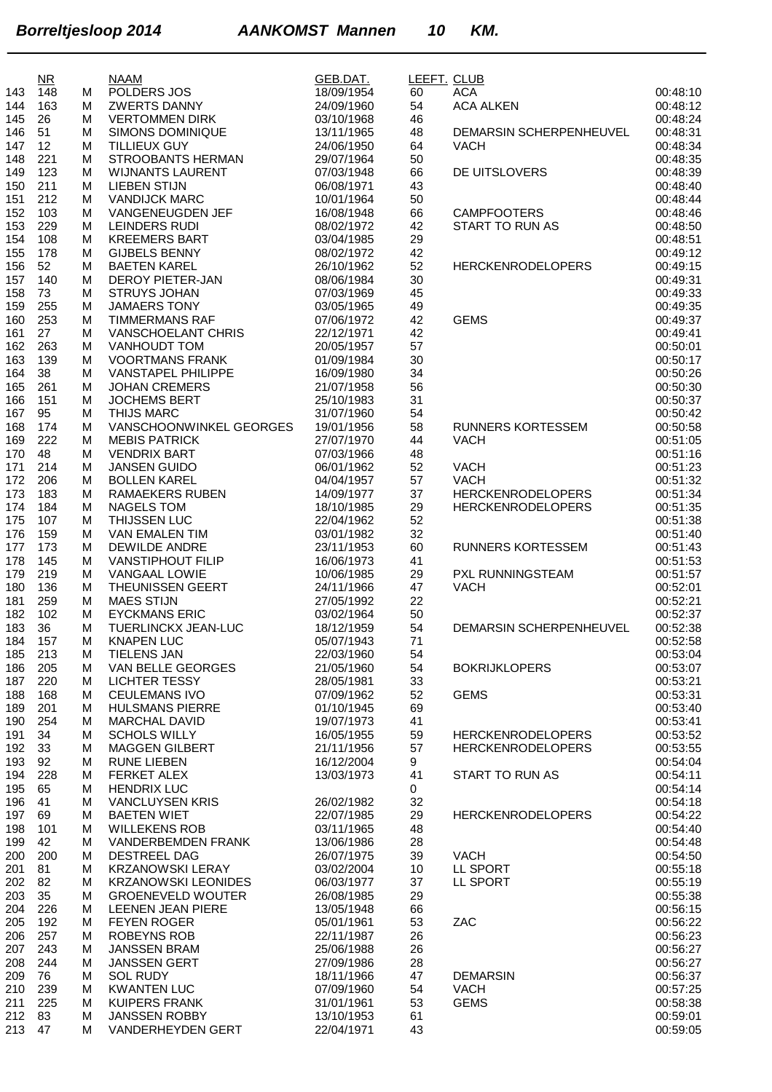|            | $\overline{\text{NR}}$ |        | <b>NAAM</b>                                         | GEB.DAT.                 | LEEFT. CLUB |                          |                      |
|------------|------------------------|--------|-----------------------------------------------------|--------------------------|-------------|--------------------------|----------------------|
| 143        | 148                    | м      | POLDERS JOS                                         | 18/09/1954               | 60          | <b>ACA</b>               | 00:48:10             |
| 144        | 163                    | м      | <b>ZWERTS DANNY</b>                                 | 24/09/1960               | 54          | <b>ACA ALKEN</b>         | 00:48:12             |
| 145        | 26                     | м      | <b>VERTOMMEN DIRK</b>                               | 03/10/1968               | 46          |                          | 00:48:24             |
| 146        | 51                     | м      | SIMONS DOMINIQUE                                    | 13/11/1965               | 48          | DEMARSIN SCHERPENHEUVEL  | 00:48:31             |
| 147<br>148 | 12<br>221              | м<br>м | <b>TILLIEUX GUY</b><br>STROOBANTS HERMAN            | 24/06/1950<br>29/07/1964 | 64<br>50    | <b>VACH</b>              | 00:48:34<br>00:48:35 |
| 149        | 123                    | м      | <b>WIJNANTS LAURENT</b>                             | 07/03/1948               | 66          | DE UITSLOVERS            | 00:48:39             |
| 150        | 211                    | м      | <b>LIEBEN STIJN</b>                                 | 06/08/1971               | 43          |                          | 00:48:40             |
| 151        | 212                    | M      | <b>VANDIJCK MARC</b>                                | 10/01/1964               | 50          |                          | 00:48:44             |
| 152        | 103                    | м      | VANGENEUGDEN JEF                                    | 16/08/1948               | 66          | <b>CAMPFOOTERS</b>       | 00:48:46             |
| 153        | 229                    | м      | <b>LEINDERS RUDI</b>                                | 08/02/1972               | 42          | START TO RUN AS          | 00:48:50             |
| 154        | 108                    | м      | <b>KREEMERS BART</b>                                | 03/04/1985               | 29          |                          | 00:48:51             |
| 155        | 178                    | м      | <b>GIJBELS BENNY</b>                                | 08/02/1972               | 42          |                          | 00:49:12             |
| 156        | 52                     | м      | <b>BAETEN KAREL</b>                                 | 26/10/1962               | 52          | <b>HERCKENRODELOPERS</b> | 00:49:15             |
| 157        | 140                    | M      | <b>DEROY PIETER-JAN</b>                             | 08/06/1984               | 30          |                          | 00:49:31             |
| 158        | 73                     | M      | <b>STRUYS JOHAN</b>                                 | 07/03/1969               | 45          |                          | 00:49:33             |
| 159        | 255                    | м      | <b>JAMAERS TONY</b>                                 | 03/05/1965               | 49          |                          | 00:49:35             |
| 160        | 253                    | м      | <b>TIMMERMANS RAF</b>                               | 07/06/1972               | 42          | <b>GEMS</b>              | 00:49:37             |
| 161        | 27                     | м      | VANSCHOELANT CHRIS                                  | 22/12/1971               | 42          |                          | 00:49:41             |
| 162        | 263<br>139             | м      | <b>VANHOUDT TOM</b>                                 | 20/05/1957               | 57          |                          | 00:50:01<br>00:50:17 |
| 163        | 38                     | м<br>м | <b>VOORTMANS FRANK</b><br><b>VANSTAPEL PHILIPPE</b> | 01/09/1984<br>16/09/1980 | 30<br>34    |                          | 00:50:26             |
| 164<br>165 | 261                    | M      | <b>JOHAN CREMERS</b>                                | 21/07/1958               | 56          |                          | 00:50:30             |
| 166        | 151                    | M      | <b>JOCHEMS BERT</b>                                 | 25/10/1983               | 31          |                          | 00:50:37             |
| 167        | 95                     | м      | <b>THIJS MARC</b>                                   | 31/07/1960               | 54          |                          | 00:50:42             |
| 168        | 174                    | м      | VANSCHOONWINKEL GEORGES                             | 19/01/1956               | 58          | <b>RUNNERS KORTESSEM</b> | 00:50:58             |
| 169        | 222                    | м      | <b>MEBIS PATRICK</b>                                | 27/07/1970               | 44          | <b>VACH</b>              | 00:51:05             |
| 170        | 48                     | м      | <b>VENDRIX BART</b>                                 | 07/03/1966               | 48          |                          | 00:51:16             |
| 171        | 214                    | м      | <b>JANSEN GUIDO</b>                                 | 06/01/1962               | 52          | <b>VACH</b>              | 00:51:23             |
| 172        | 206                    | м      | <b>BOLLEN KAREL</b>                                 | 04/04/1957               | 57          | <b>VACH</b>              | 00:51:32             |
| 173        | 183                    | м      | <b>RAMAEKERS RUBEN</b>                              | 14/09/1977               | 37          | <b>HERCKENRODELOPERS</b> | 00:51:34             |
| 174        | 184                    | м      | NAGELS TOM                                          | 18/10/1985               | 29          | <b>HERCKENRODELOPERS</b> | 00:51:35             |
| 175        | 107                    | м      | THIJSSEN LUC                                        | 22/04/1962               | 52          |                          | 00:51:38             |
| 176        | 159                    | M      | VAN EMALEN TIM                                      | 03/01/1982               | 32          |                          | 00:51:40             |
| 177        | 173                    | м      | <b>DEWILDE ANDRE</b>                                | 23/11/1953               | 60          | <b>RUNNERS KORTESSEM</b> | 00:51:43             |
| 178        | 145                    | м      | <b>VANSTIPHOUT FILIP</b>                            | 16/06/1973               | 41          |                          | 00:51:53             |
| 179        | 219                    | м      | <b>VANGAAL LOWIE</b>                                | 10/06/1985               | 29          | PXL RUNNINGSTEAM         | 00:51:57<br>00:52:01 |
| 180<br>181 | 136<br>259             | м<br>м | <b>THEUNISSEN GEERT</b><br><b>MAES STIJN</b>        | 24/11/1966<br>27/05/1992 | 47<br>22    | <b>VACH</b>              | 00:52:21             |
| 182        | 102                    | м      | <b>EYCKMANS ERIC</b>                                | 03/02/1964               | 50          |                          | 00:52:37             |
| 183        | 36                     | M      | TUERLINCKX JEAN-LUC                                 | 18/12/1959               | 54          | DEMARSIN SCHERPENHEUVEL  | 00:52:38             |
| 184        | 157                    | м      | <b>KNAPEN LUC</b>                                   | 05/07/1943               | 71          |                          | 00:52:58             |
| 185        | 213                    | м      | <b>TIELENS JAN</b>                                  | 22/03/1960               | 54          |                          | 00:53:04             |
| 186        | 205                    | м      | VAN BELLE GEORGES                                   | 21/05/1960               | 54          | <b>BOKRIJKLOPERS</b>     | 00:53:07             |
| 187        | 220                    | м      | <b>LICHTER TESSY</b>                                | 28/05/1981               | 33          |                          | 00:53:21             |
| 188        | 168                    | м      | <b>CEULEMANS IVO</b>                                | 07/09/1962               | 52          | <b>GEMS</b>              | 00:53:31             |
| 189        | 201                    | м      | <b>HULSMANS PIERRE</b>                              | 01/10/1945               | 69          |                          | 00:53:40             |
| 190        | 254                    | м      | <b>MARCHAL DAVID</b>                                | 19/07/1973               | 41          |                          | 00:53:41             |
| 191        | 34                     | м      | <b>SCHOLS WILLY</b>                                 | 16/05/1955               | 59          | <b>HERCKENRODELOPERS</b> | 00:53:52             |
| 192        | 33                     | M      | <b>MAGGEN GILBERT</b>                               | 21/11/1956               | 57          | <b>HERCKENRODELOPERS</b> | 00:53:55             |
| 193        | 92                     | м      | <b>RUNE LIEBEN</b>                                  | 16/12/2004               | 9           |                          | 00:54:04             |
| 194        | 228                    | M      | <b>FERKET ALEX</b>                                  | 13/03/1973               | 41          | START TO RUN AS          | 00:54:11             |
| 195        | 65                     | M      | <b>HENDRIX LUC</b>                                  |                          | 0           |                          | 00:54:14             |
| 196        | 41                     | м      | <b>VANCLUYSEN KRIS</b><br><b>BAETEN WIET</b>        | 26/02/1982               | 32          |                          | 00:54:18             |
| 197<br>198 | 69<br>101              | м<br>м | <b>WILLEKENS ROB</b>                                | 22/07/1985<br>03/11/1965 | 29<br>48    | <b>HERCKENRODELOPERS</b> | 00:54:22<br>00:54:40 |
| 199        | 42                     | м      | <b>VANDERBEMDEN FRANK</b>                           | 13/06/1986               | 28          |                          | 00:54:48             |
| 200        | 200                    | м      | DESTREEL DAG                                        | 26/07/1975               | 39          | <b>VACH</b>              | 00:54:50             |
| 201        | 81                     | M      | <b>KRZANOWSKI LERAY</b>                             | 03/02/2004               | 10          | LL SPORT                 | 00:55:18             |
| 202        | 82                     | M      | <b>KRZANOWSKI LEONIDES</b>                          | 06/03/1977               | 37          | LL SPORT                 | 00:55:19             |
| 203        | 35                     | м      | <b>GROENEVELD WOUTER</b>                            | 26/08/1985               | 29          |                          | 00:55:38             |
| 204        | 226                    | м      | LEENEN JEAN PIERE                                   | 13/05/1948               | 66          |                          | 00:56:15             |
| 205        | 192                    | м      | <b>FEYEN ROGER</b>                                  | 05/01/1961               | 53          | ZAC                      | 00:56:22             |
| 206        | 257                    | м      | ROBEYNS ROB                                         | 22/11/1987               | 26          |                          | 00:56:23             |
| 207        | 243                    | м      | <b>JANSSEN BRAM</b>                                 | 25/06/1988               | 26          |                          | 00:56:27             |
| 208        | 244                    | м      | <b>JANSSEN GERT</b>                                 | 27/09/1986               | 28          |                          | 00:56:27             |
| 209        | 76                     | м      | <b>SOL RUDY</b>                                     | 18/11/1966               | 47          | <b>DEMARSIN</b>          | 00:56:37             |
| 210        | 239                    | м      | <b>KWANTEN LUC</b>                                  | 07/09/1960               | 54          | <b>VACH</b>              | 00:57:25             |
| 211        | 225                    | M      | <b>KUIPERS FRANK</b>                                | 31/01/1961               | 53          | <b>GEMS</b>              | 00:58:38             |
| 212        | 83                     | м      | <b>JANSSEN ROBBY</b>                                | 13/10/1953               | 61          |                          | 00:59:01             |
| 213        | 47                     | м      | VANDERHEYDEN GERT                                   | 22/04/1971               | 43          |                          | 00:59:05             |